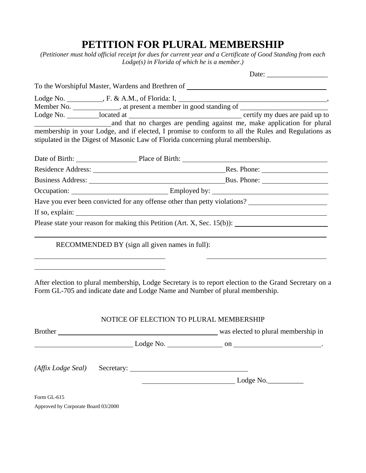## **PETITION FOR PLURAL MEMBERSHIP**

*(Petitioner must hold official receipt for dues for current year and a Certificate of Good Standing from each Lodge(s) in Florida of which he is a member.)*

|                                                                                  | To the Worshipful Master, Wardens and Brethren of _______________________________                      |
|----------------------------------------------------------------------------------|--------------------------------------------------------------------------------------------------------|
|                                                                                  |                                                                                                        |
|                                                                                  |                                                                                                        |
| stipulated in the Digest of Masonic Law of Florida concerning plural membership. | membership in your Lodge, and if elected, I promise to conform to all the Rules and Regulations as     |
|                                                                                  | Date of Birth: Place of Birth: Place of Birth:                                                         |
|                                                                                  |                                                                                                        |
|                                                                                  |                                                                                                        |
|                                                                                  |                                                                                                        |
|                                                                                  | Have you ever been convicted for any offense other than petty violations?                              |
| If so, explain:                                                                  |                                                                                                        |
|                                                                                  | Please state your reason for making this Petition (Art. X, Sec. 15(b)):                                |
| RECOMMENDED BY (sign all given names in full):                                   |                                                                                                        |
| Form GL-705 and indicate date and Lodge Name and Number of plural membership.    | After election to plural membership, Lodge Secretary is to report election to the Grand Secretary on a |
| NOTICE OF ELECTION TO PLURAL MEMBERSHIP                                          |                                                                                                        |
|                                                                                  | Brother was elected to plural membership in                                                            |
|                                                                                  | $\frac{1}{2}$ Lodge No. $\frac{1}{2}$ on $\frac{1}{2}$ on $\frac{1}{2}$                                |

*(Affix Lodge Seal)* Secretary: Lodge No.\_\_\_\_\_\_\_\_\_\_

Form GL-615

Approved by Corporate Board 03/2000